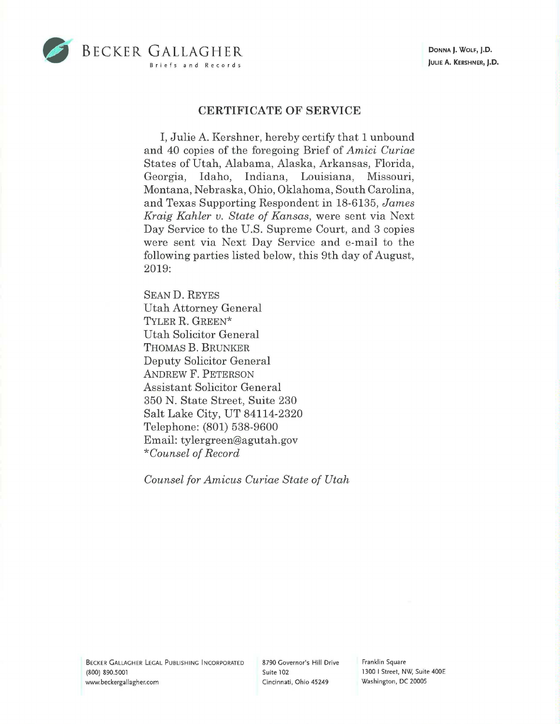

## **CERTIFICATE OF SERVICE**

I, Julie A. Kershner, hereby certify that 1 unbound and 40 copies of the foregoing Brief of *Amici Curiae*  States of Utah, Alabama, Alaska, Arkansas, Florida, Georgia, Idaho, Indiana, Louisiana, Missouri, Montana, Nebraska, Ohio, Oklahoma, South Carolina, and Texas Supporting Respondent in 18-6135, *James Kraig Kahler v. State of Kansas,* were sent via Next Day Service to the U.S. Supreme Court, and 3 copies were sent via Next Day Service and e-mail to the following parties listed below, this 9th day of August, 2019:

SEAND. REYES Utah Attorney General TYLER **R.** GREEN\* Utah Solicitor General THOMAS **B.** BRUNKER Deputy Solicitor General ANDREW F. PETERSON Assistant Solicitor General 350 N. State Street, Suite 230 Salt Lake City, UT 84114-2320 Telephone: (801) 538-9600 Email: tylergreen@agutah.gov *\*Counsel of Record* 

*Counsel for Amicus Curiae State of Utah* 

BECKER GALLAGHER LEGAL PUBLISHING INCORPORATED (800) 890.5001 www.beckergallagher.com

8790 Governor's Hill Drive Suite 102 Cincinnati, Ohio 45249

Franklin Square 1300 I Street, NW, Suite 400E Washington, DC 20005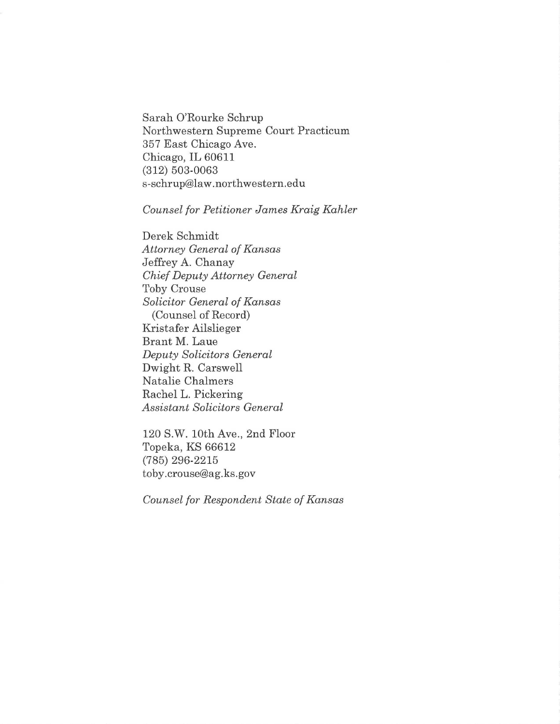Sarah O'Rourke Schrup Northwestern Supreme Court Practicum 357 East Chicago Ave. Chicago, IL 60611 (312) 503-0063 s-schrup@law.northwestern.edu

*Counsel for Petitioner James Kraig Kahler* 

Derek Schmidt *Attorney General of Kansas*  Jeffrey A. Chanay *Chief Deputy Attorney General*  Toby Crouse *Solicitor General of Kansas*  (Counsel of Record) Kristafer Ailslieger Brant M. Laue *Deputy Solicitors General*  Dwight R. Carswell Natalie Chalmers Rachel L. Pickering *Assistant Solicitors General* 

120 S.W. 10th Ave., 2nd Floor Topeka, KS 66612 (785) 296-2215 toby.crouse@ag.ks.gov

*Counsel for Respondent State of Kansas*